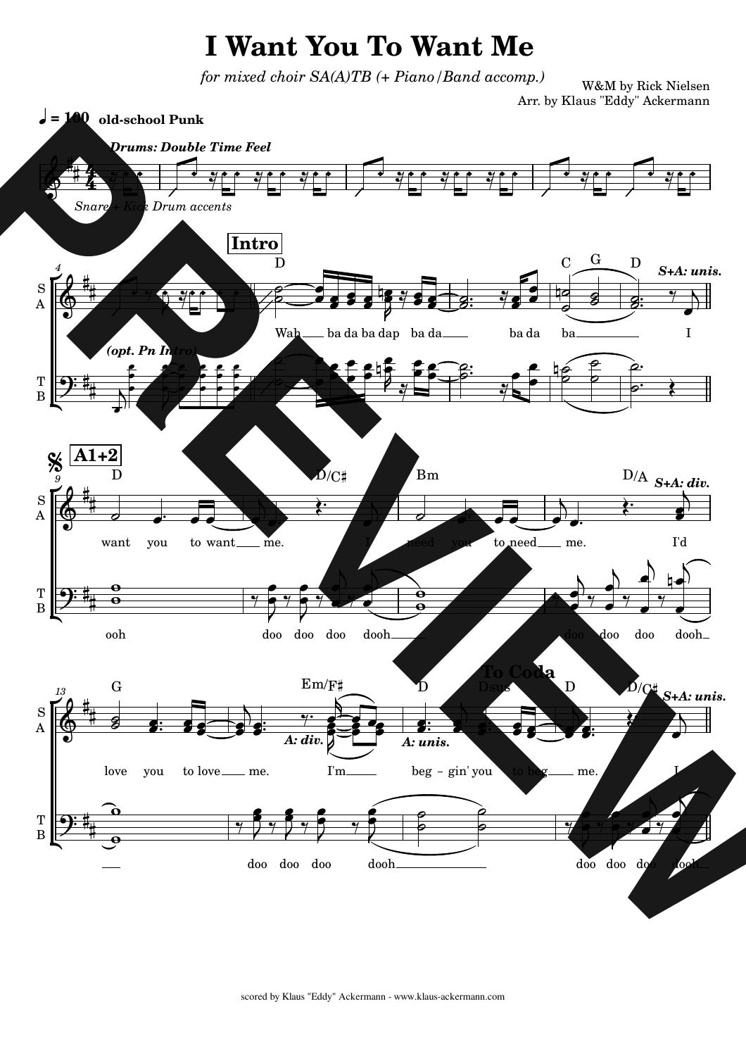## **I** Want You To Want Me

*for mixed choir SA(A)TB* (+ *Piano/Band accomp.)* 

W&M by Rick Nielsen Arr. by Klaus "Eddy" Ackermann

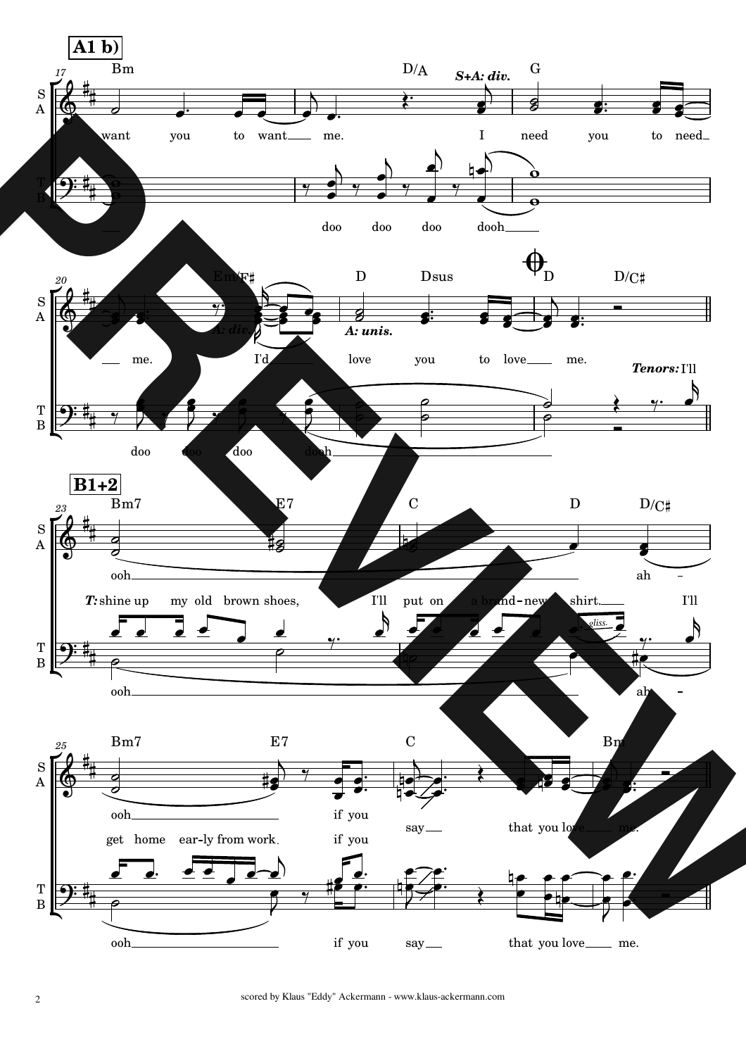

scored by Klaus "Eddy" Ackermann - www.klaus-ackermann.com